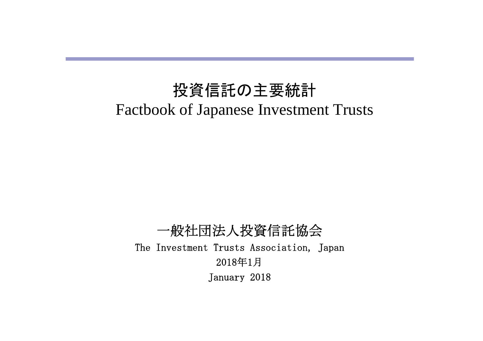# 投資信託の主要統計 Factbook of Japanese Investment Trusts

一般社団法人投資信託協会 The Investment Trusts Association, Japan 2018年1月 January 2018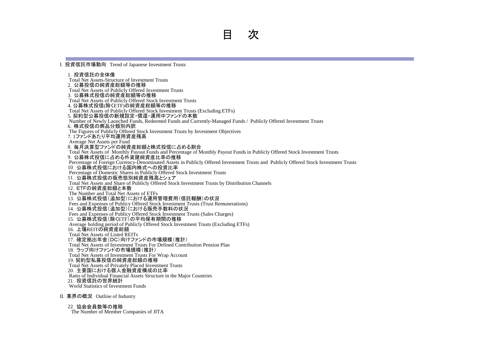Ⅰ.投資信託市場動向 Trend of Japanese Investment Trusts

1. 投資信託の全体像 Total Net Assets-Structure of Investment Trusts 2.公募投信の純資産総額等の推移 Total Net Assets of Publicly Offered Investment Trusts 3.公募株式投信の純資産総額等の推移 Total Net Assets of Publicly Offered Stock Investment Trusts 4. 公募株式投信(除くETF)の純資産総額等の推移 Total Net Assets of Publicly Offered Stock Investment Trusts (Excluding ETFs) 5. 契約型公募投信の新規設定・償還・運用中ファンドの本数 Number of Newly Launched Funds, Redeemed Funds and Currently-Managed Funds / Publicly Offered Investment Trusts 6.株式投信の商品分類別内訳 The Figures of Publicly Offered Stock Investment Trusts by Investment Objectives 7. 1ファンドあたり平均運用資産残高 Average Net Assets per Fund 8.毎月決算型ファンドの純資産総額と株式投信に占める割合 Total Net Assets of Monthly Payout Funds and Percentage of Monthly Payout Funds in Publicly Offered Stock Investment Trusts 9. 公募株式投信に占める外貨建純資産比率の推移 Percentage of Foreign Currency-Denominated Assets in Publicly Offered Investment Trusts and Publicly Offered Stock Investment Trusts 10. 公募株式投信における国内株式への投資比率 Percentage of Domestic Shares in Publicly Offered Stock Investment Trusts 11. 公募株式投信の販売態別純資産残高とシェア Total Net Assets and Share of Publicly Offered Stock Investment Trusts by Distribution Channels 12.ETFの純資産総額と本数 The Number and Total Net Assets of ETFs 13.公募株式投信(追加型)における運用管理費用(信託報酬)の状況 Fees and Expenses of Publicy Offered Stock Investment Trusts (Trust Remunerations) 14.公募株式投信(追加型)における販売手数料の状況 Fees and Expenses of Publicy Offered Stock Investment Trusts (Sales Charges) 15.公募株式投信(除くETF)の平均保有期間の推移 Average holding period of Publicly Offered Stock Investment Trusts (Excluding ETFs) 16.上場REITの純資産総額 Total Net Assets of Listed REITs 17.確定拠出年金(DC)向けファンドの市場規模(推計) Total Net Assets of Investment Trusts For Defined Contribution Pension Plan 18.ラップ向けファンドの市場規模(推計) Total Net Assets of Investment Trusts For Wrap Account 19. 契約型私募投信の純資産総額の推移 Total Net Assets of Privately Placed Investment Trusts 20.主要国における個人金融資産構成の比率 Ratio of Individual Financial Assets Structure in the Major Countries 21. 投資信託の世界統計 World Statistics of Investment Funds

Ⅱ.業界の概況 Outline of Industry

22. 協会会員数等の推移 The Number of Member Companies of JITA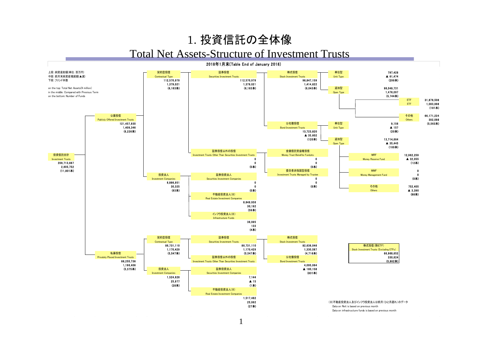### 1. 投資信託の全体像

#### Total Net Assets-Structure of Investment Trusts

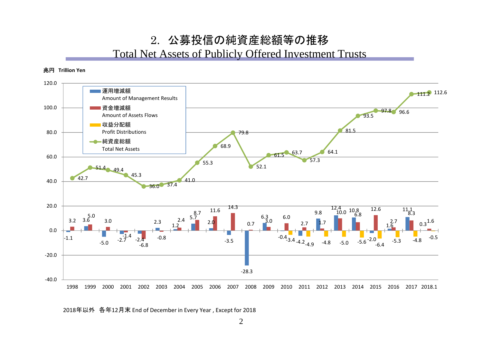## 2. 公募投信の純資産総額等の推移

#### Total Net Assets of Publicly Offered Investment Trusts

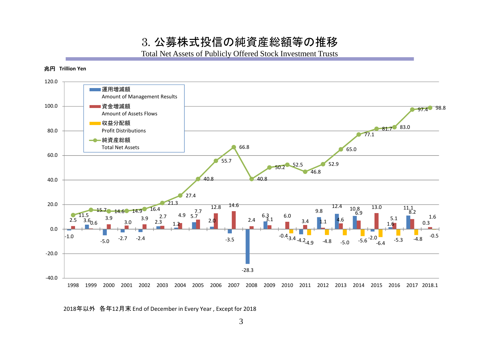3. 公募株式投信の純資産総額等の推移

Total Net Assets of Publicly Offered Stock Investment Trusts

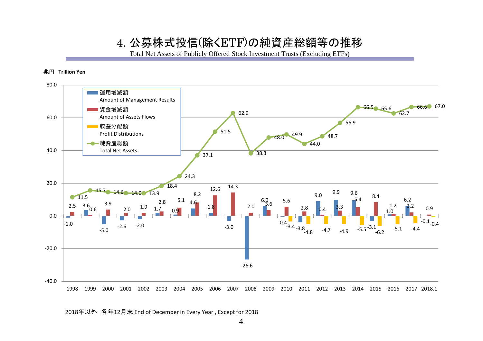#### 4. 公募株式投信(除くETF)の純資産総額等の推移

Total Net Assets of Publicly Offered Stock Investment Trusts (Excluding ETFs)

#### 兆円 **Trillion Yen**

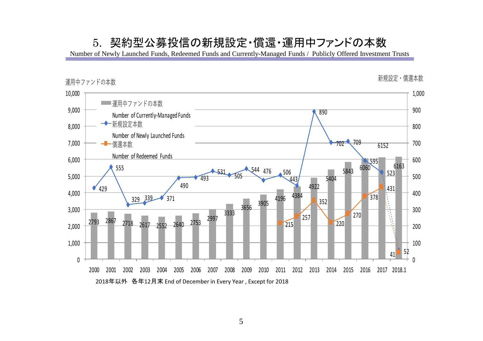#### 5. 契約型公募投信の新規設定・償還・運用中ファンドの本数

Number of Newly Launched Funds, Redeemed Funds and Currently-Managed Funds / Publicly Offered Investment Trusts

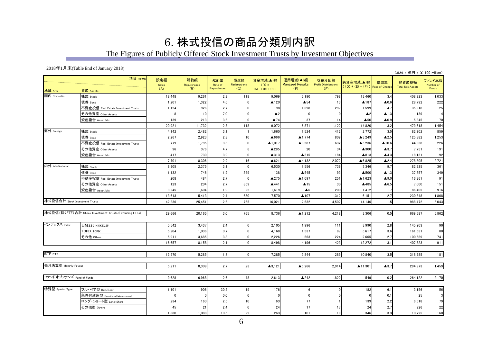### 6. 株式投信の商品分類別内訳

The Figures of Publicly Offered Stock Investment Trusts by Investment Objectives

2018年1月末(Table End of January 2018)

|                                |                                                         |                     |                           |                               |                           |                                            |                                           |                                             |                                  |                       | (単位:億円; ¥ 100 million)           |                              |
|--------------------------------|---------------------------------------------------------|---------------------|---------------------------|-------------------------------|---------------------------|--------------------------------------------|-------------------------------------------|---------------------------------------------|----------------------------------|-----------------------|----------------------------------|------------------------------|
| 地域 Area                        | 項目 ITEMS<br>資産 Assets                                   | 設定額<br>Sales<br>(A) | 解約額<br>Repurchases<br>(B) | 解約率<br>Rate of<br>Repurchases | 償還額<br>Redemptions<br>(C) | 資金増減(▲)額<br>$(D) =$<br>$(A) - ((B) + (C))$ | 運用増減(▲)額<br><b>Managed Results</b><br>(E) | 収益分配額<br><b>Profit Distributions</b><br>(F) | 純資産増減(▲)額<br>$((D) + (E) - (F))$ | 増減率<br>Rate of Change | 純資産総額<br><b>Total Net Assets</b> | ファンド本数<br>Number of<br>Funds |
| 国内 Domestic                    | 株式 Stock                                                | 18,448              | 9,261                     | 2.3                           | 118                       | 9,069                                      | 5,190                                     | 798                                         | 13,460                           | 3.4                   | 408,923                          | 1,033                        |
|                                | 債券 Bond                                                 | 1,201               | 1,322                     | 4.6                           | $\Omega$                  | ▲120                                       | $\blacktriangle$ 54                       | 13                                          | ▲187                             | $\blacktriangle 0.6$  | 28,792                           | 222                          |
|                                | 不動産投信 Real Estate Investment Trusts                     | 1,124               | 926                       | 2.7                           |                           | 198                                        | 1,698                                     | 297                                         | 1,599                            | 4.7                   | 35,918                           | 125                          |
|                                | その他資産 Other Assets                                      |                     | 10                        | 7.0                           |                           | $\blacktriangle$ 2                         | $\Omega$                                  |                                             | $\triangle$ 2                    | $\blacktriangle$ 1.3  | 139                              |                              |
|                                | 資産複合 Asset Mix                                          | 139                 | 213                       | 3.6                           |                           | $\blacktriangle$ 74                        | 37                                        | 14                                          | $\triangle$ 50                   | $\blacktriangle$ 0.9  | 5,845                            | 70                           |
|                                |                                                         | 20,921              | 11,732                    | 2.5                           | 118                       | 9,072                                      | 6,871                                     | 1,122                                       | 14,820                           | 3.2                   | 479,618                          | 1,454                        |
| 海外 Foreign                     | 株式 Stock                                                | 4,142               | 2,482                     | 3.1                           |                           | 1,660                                      | 1,524                                     | 412                                         | 2,772                            | 3.5                   | 82,202                           | 859                          |
|                                | 債券 Bond                                                 | 2,267               | 2,923                     | 2.3                           | 10                        | ▲666                                       | ▲1,774                                    | 809                                         | ▲3,249                           | $\blacktriangle$ 2.5  | 125,882                          | 1,253                        |
|                                | 不動産投信 Real Estate Investment Trusts                     | 779                 | 1.795                     | 3.6                           | <sup>0</sup>              | $\blacktriangle$ 1,017                     | ▲3,587                                    | 632                                         | ▲5,236                           | ▲10.6                 | 44.338                           | 226                          |
|                                | その他資産 Other Assets                                      | 96                  | 376                       | 4.7                           |                           | ▲285                                       | 20                                        | 34                                          | ▲300                             | $\blacktriangle$ 3.7  | 7,751                            | 191                          |
|                                | 資産複合 Asset Mix                                          | 417                 | 730                       | 3.9                           | $\Omega$                  | $\blacktriangle$ 313                       | ▲315                                      | 184                                         | ▲813                             | $\blacktriangle$ 4.3  | 18,131                           | 192                          |
|                                |                                                         | 7,701               | 8,306                     | 2.9                           | 16                        | $\triangle 621$                            | ▲4,132                                    | 2,072                                       | ▲6,825                           | $\blacktriangle$ 2.4  | 278,305                          | 2,721                        |
| 内外 InterNational               | 株式 Stock                                                | 8.905               | 2,375                     | 3.1                           | $\Omega$                  | 6,530                                      | 1,556                                     | 739                                         | 7,346                            | 9.7                   | 82.925                           | 361                          |
|                                | 債券 Bond                                                 | 1,132               | 746                       | 1.9                           | 249                       | 138                                        | ▲545                                      | 93                                          | ▲500                             | $\blacktriangle$ 1.3  | 37,857                           | 349                          |
|                                | 不動産投信 Real Estate Investment Trusts                     | 208                 | 484                       | 2.7                           | $\Omega$                  | ▲275                                       | ▲1.097                                    | 251                                         | ▲1,623                           | $\blacktriangle$ 9.0  | 16.361                           | 91                           |
|                                | その他資産 Other Assets                                      | 123                 | 204                       | 2.7                           | 359                       | ▲441                                       | $\blacktriangle$ 15                       | 30                                          | ▲485                             | $\blacktriangle 6.5$  | 7,000                            | 151                          |
|                                | 資産複合 Asset Mix                                          | 3,245               | 1.604                     | 1.9                           | 22                        | 1,619                                      | $\blacktriangle$ 6                        | 200                                         | 1,412                            | 1.7                   | 86,405                           | 916                          |
|                                |                                                         | 13,613              | 5,413                     | 2.4                           | 630                       | 7,570                                      | ▲107                                      | 1,312                                       | 6,151                            | 2.7                   | 230,548                          | 1,868                        |
| 株式投信合計 Stock Investment Trusts |                                                         | 42.236              | 25.451                    | 2.6                           | 765                       | 16.021                                     | 2.632                                     | 4.507                                       | 14.146                           | 1.5                   | 988.472                          | 6,043                        |
|                                | 株式投信(除くETF) 合計 Stock Investment Trusts (Excluding ETFs) | 29.666              | 20,165                    | 3.0                           | 765                       | 8.736                                      | ▲1.212                                    | 4.218                                       | 3.306                            | 0.5                   | 669.687                          | 5,862                        |
| インデックス Index                   | 日経225 NIKKEI225                                         | 5.542               | 3,437                     | 2.4                           | n                         | 2,105                                      | 1,996                                     | 111                                         | 3.990                            | 2.8                   | 145,203                          | 90                           |
|                                | <b>TOPIX TOPIX</b>                                      | 5,204               | 1,036                     | 0.7                           | n                         | 4,168                                      | 1,537                                     | 87                                          | 5,617                            | 3.6                   | 161,531                          | 80                           |
|                                | その他 Others                                              | 5.911               | 3,685                     | 3.8                           | $\Omega$                  | 2,226                                      | 663                                       | 224                                         | 2.665                            | 2.7                   | 100.589                          | 741                          |
|                                |                                                         | 16,657              | 8,158                     | 2.1                           | $\Omega$                  | 8,498                                      | 4,196                                     | 423                                         | 12,272                           | 3.1                   | 407,323                          | 911                          |
| ETF ETF                        |                                                         | 12,570              | 5,285                     | 1.7                           | $\overline{0}$            | 7,285                                      | 3,844                                     | 289                                         | 10,840                           | 3.5                   | 318,785                          | 181                          |
| 毎月決算型 Monthly Payout           |                                                         | 5,211               | 8,309                     | 2.7                           | 23                        | ▲3,121                                     | ▲5.266                                    | 2.914                                       | ▲11,301                          | $\blacktriangle$ 3.7  | 294.973                          | 1,459                        |
| ファンドオブファンズ Fund of Funds       |                                                         | 9,628               | 6,968                     | 2.6                           | 48                        | 2,613                                      | $\triangle$ 242                           | 1,822                                       | 549                              | 0.2                   | 264,122                          | 2,170                        |
| 特殊型 Special Type               | ブル・ベア型 Bull/Bear                                        | 1,101               | 906                       | 30.5                          | 19                        | 176                                        |                                           |                                             | 182                              | 6.1                   | 3,156                            | 56                           |
|                                | 条件付運用型 Conditional Management                           |                     |                           | 0.0                           | $\Omega$                  | n                                          |                                           |                                             |                                  | 0.1                   | 25                               |                              |
|                                | ロング・ショート型 Long/Short                                    | 234                 | 160                       | 2.5                           | 10                        | 63                                         | 77                                        |                                             | 139                              | 2.2                   | 6,618                            | 79                           |
|                                | その他型 Others                                             | 45                  | 21                        | 2.4                           | $\Omega$                  | 24                                         | 17                                        | 17                                          | 24                               | 2.7                   | 926                              | 22                           |
|                                |                                                         | 1,380               | 1,088                     | 10.5                          | 29                        | 263                                        | 101                                       | 19                                          | 346                              | 3.3                   | 10,725                           | 160                          |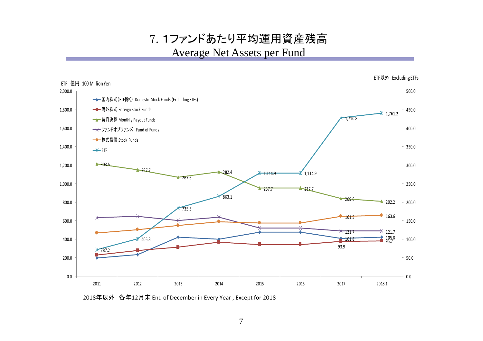7. 1ファンドあたり平均運用資産残高 Average Net Assets per Fund

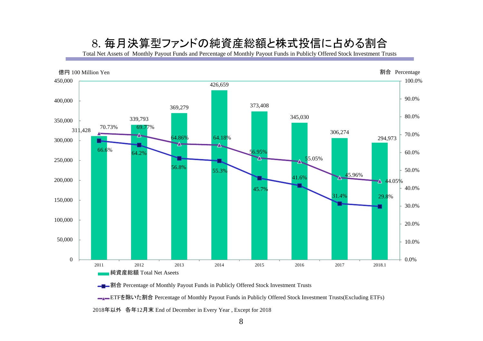#### 8. 毎月決算型ファンドの純資産総額と株式投信に占める割合

Total Net Assets of Monthly Payout Funds and Percentage of Monthly Payout Funds in Publicly Offered Stock Investment Trusts



**■■■割合** Percentage of Monthly Payout Funds in Publicly Offered Stock Investment Trusts

■■ETFを除いた割合 Percentage of Monthly Payout Funds in Publicly Offered Stock Investment Trusts(Excluding ETFs)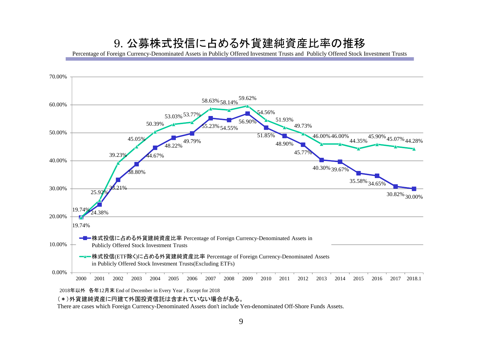### 9. 公募株式投信に占める外貨建純資産比率の推移

Percentage of Foreign Currency-Denominated Assets in Publicly Offered Investment Trusts and Publicly Offered Stock Investment Trusts



#### (\*)外貨建純資産に円建て外国投資信託は含まれていない場合がある。

There are cases which Foreign Currency-Denominated Assets don't include Yen-denominated Off-Shore Funds Assets.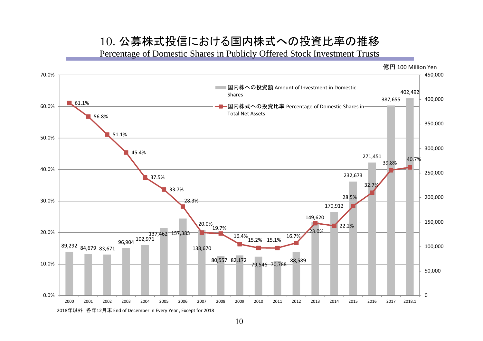#### 10. 公募株式投信における国内株式への投資比率の推移

Percentage of Domestic Shares in Publicly Offered Stock Investment Trusts



10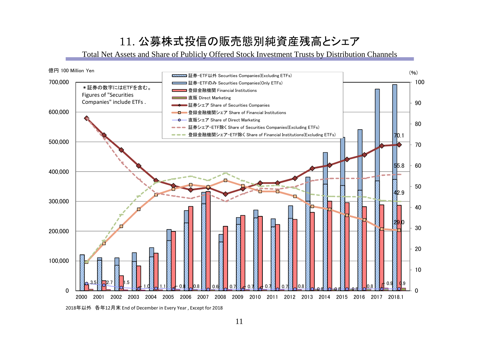## 11. 公募株式投信の販売態別純資産残高とシェア

Total Net Assets and Share of Publicly Offered Stock Investment Trusts by Distribution Channels



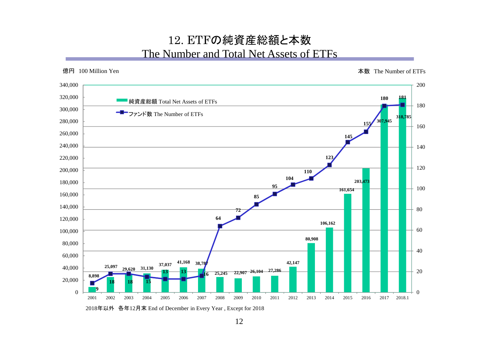#### 12. ETFの純資産総額と本数 The Number and Total Net Assets of ETFs

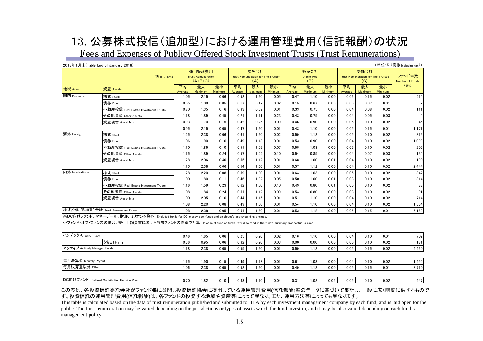## 13. 公募株式投信(追加型)における運用管理費用(信託報酬)の状況

Fees and Expenses of Publicy Offered Stock Investment Trusts (Trust Remunerations)

|                                     | 2018年1月末(Table End of January 2018) |                                                  |                      |               |                                                   |                      |               |                                 |                      |               |                                                          |                      |               | (単位:%(税抜Excluding tax))          |
|-------------------------------------|-------------------------------------|--------------------------------------------------|----------------------|---------------|---------------------------------------------------|----------------------|---------------|---------------------------------|----------------------|---------------|----------------------------------------------------------|----------------------|---------------|----------------------------------|
| 項目 ITEMS                            |                                     | 運用管理費用<br><b>Trust Remuneration</b><br>$(A+B+C)$ |                      |               | 委託会社<br>Trust Remuneration for The Trustor<br>(A) |                      |               | 販売会社<br><b>Agent Fee</b><br>(B) |                      |               | 受託会社<br><b>Trust Remuneration for The Trustee</b><br>(C) |                      |               | ファンド本数<br><b>Number of Funds</b> |
| 地域 Area                             | 資産 Assets                           | 平均<br>Average                                    | 最大<br><b>Maximum</b> | 最小<br>Minimum | 平均<br>Average                                     | 最大<br><b>Maximum</b> | 最小<br>Minimum | 平均<br>Average                   | 最大<br><b>Maximum</b> | 最小<br>Minimum | 平均<br>Average                                            | 最大<br><b>Maximum</b> | 最小<br>Minimum | $(\times)$                       |
| 国内 Domestic                         | 株式 Stock                            | 1.05                                             | 2.15                 | 0.06          | 0.52                                              | 1.60                 | 0.05          | 0.47                            | 1.10                 | 0.00          | 0.06                                                     | 0.15                 | 0.02          | 914                              |
|                                     | 債券 Bond                             | 0.35                                             | 1.00                 | 0.05          | 0.17                                              | 0.47                 | 0.02          | 0.15                            | 0.67                 | 0.00          | 0.03                                                     | 0.07                 | 0.01          | 97                               |
|                                     | 不動産投信 Real Estate Investment Trusts | 0.70                                             | 1.35                 | 0.16          | 0.33                                              | 0.69                 | 0.01          | 0.33                            | 0.75                 | 0.00          | 0.04                                                     | 0.08                 | 0.02          | 111                              |
|                                     | その他資産 Other Assets                  | 1.18                                             | 1.89                 | 0.45          | 0.71                                              | 1.11                 | 0.23          | 0.43                            | 0.75                 | 0.00          | 0.04                                                     | 0.05                 | 0.03          | $\overline{4}$                   |
|                                     | 資産複合 Asset Mix                      | 0.93                                             | 1.70                 | 0.15          | 0.42                                              | 0.75                 | 0.09          | 0.46                            | 0.90                 | 0.00          | 0.05                                                     | 0.10                 | 0.02          | 45                               |
|                                     |                                     | 0.95                                             | 2.15                 | 0.05          | 0.47                                              | 1.60                 | 0.01          | 0.43                            | 1.10                 | 0.00          | 0.05                                                     | 0.15                 | 0.01          | 1,171                            |
| 海外 Foreign                          | 株式 Stock                            | 1.25                                             | 2.38                 | 0.06          | 0.61                                              | 1.60                 | 0.02          | 0.59                            | 1.12                 | 0.00          | 0.05                                                     | 0.10                 | 0.02          | 816                              |
|                                     | 債券 Bond                             | 1.06                                             | 1.90                 | 0.10          | 0.49                                              | 1.13                 | 0.01          | 0.53                            | 0.90                 | 0.00          | 0.04                                                     | 0.10                 | 0.02          | 1.099                            |
|                                     | 不動産投信 Real Estate Investment Trusts | 1.10                                             | 1.85                 | 0.10          | 0.51                                              | 1.06                 | 0.07          | 0.55                            | 1.08                 | 0.00          | 0.05                                                     | 0.10                 | 0.02          | 205                              |
|                                     | その他資産 Other Assets                  | 1.15                                             | 1.89                 | 0.24          | 0.57                                              | 1.09                 | 0.10          | 0.54                            | 0.85                 | 0.00          | 0.04                                                     | 0.07                 | 0.03          | 134                              |
|                                     | 資産複合 Asset Mix                      | 1.28                                             | 2.06                 | 0.46          | 0.55                                              | 1.12                 | 0.01          | 0.68                            | 1.00                 | 0.01          | 0.04                                                     | 0.10                 | 0.02          | 190                              |
|                                     |                                     | 1.15                                             | 2.38                 | 0.06          | 0.54                                              | 1.60                 | 0.01          | 0.57                            | 1.12                 | 0.00          | 0.04                                                     | 0.10                 | 0.02          | 2,444                            |
| 内外 InterNational                    | 株式 Stock                            | 1.28                                             | 2.20                 | 0.08          | 0.59                                              | 1.30                 | 0.01          | 0.64                            | 1.03                 | 0.00          | 0.05                                                     | 0.10                 | 0.02          | 347                              |
|                                     | 債券 Bond                             | 1.00                                             | 1.80                 | 0.11          | 0.46                                              | 1.02                 | 0.05          | 0.50                            | 1.00                 | 0.01          | 0.03                                                     | 0.10                 | 0.02          | 314                              |
|                                     | 不動産投信 Real Estate Investment Trusts | 1.16                                             | 1.59                 | 0.23          | 0.62                                              | 1.00                 | 0.10          | 0.49                            | 0.80                 | 0.01          | 0.05                                                     | 0.10                 | 0.02          | 88                               |
|                                     | その他資産 Other Assets                  | 1.08                                             | 1.84                 | 0.24          | 0.51                                              | 1.12                 | 0.09          | 0.54                            | 0.80                 | 0.00          | 0.03                                                     | 0.10                 | 0.02          | 91                               |
|                                     | 資産複合 Asset Mix                      | 1.00                                             | 2.05                 | 0.10          | 0.44                                              | 1.15                 | 0.01          | 0.51                            | 1.10                 | 0.00          | 0.04                                                     | 0.10                 | 0.02          | 714                              |
|                                     |                                     | 1.08                                             | 2.20                 | 0.08          | 0.49                                              | 1.30                 | 0.01          | 0.54                            | 1.10                 | 0.00          | 0.04                                                     | 0.10                 | 0.02          | 1,554                            |
| 株式投信(追加型)合計 Stock Investment Trusts |                                     | 1.08                                             | 2.38                 | 0.05          | 0.51                                              | 1.60                 | 0.01          | 0.53                            | 1.12                 | 0.00          | 0.05                                                     | 0.15                 | 0.01          | 5,169                            |

※DC向けファンド、マネープール、財形、ミリオンを除外 Excluded funds for DC, money pool funds and employee's asset-building shemes.

※ファンド・オブ・ファンズの場合、交付目論見書における当該ファンドの料率で計算 In case of fund of funds, rate disclosed in the fund's summary prospectus is used.

| インデックス Index Funds                         | 0.46 | 1.65 | 0.06 | 0.25 | 0.90 | 0.02 | 0.16  | .10 <sub>1</sub> | 0.00 | 0.04 | 0.10 | 0.01 | 709   |
|--------------------------------------------|------|------|------|------|------|------|-------|------------------|------|------|------|------|-------|
| <b>SSETF ETF</b>                           | 0.36 | 0.95 | 0.06 | 0.32 | 0.90 | 0.03 | 0.001 | 0.00             | 0.00 | 0.05 | 0.10 | 0.02 | 181I  |
| アクティブ Actively Managed Funds               |      | 2.38 | 0.05 | 0.55 | 1.60 | 0.01 | 0.59  | 1.12             | 0.00 | 0.05 | 0.15 | 0.02 | 4,460 |
|                                            |      |      |      |      |      |      |       |                  |      |      |      |      |       |
| 毎月決算型 Monthly Payout                       | 1.15 | 1.90 | 0.15 | 0.49 | 1.13 | 0.01 | 0.61  | 0.08             | 0.00 | 0.04 | 0.10 | 0.02 | .459  |
| 每月決算型以外 Other                              | 1.06 | 2.38 | 0.05 | 0.52 | 1.60 | 0.01 | 0.49  | 1.12.            | 0.00 | 0.05 | 0.15 | 0.01 | 3,710 |
|                                            |      |      |      |      |      |      |       |                  |      |      |      |      |       |
| DC向けファンド Defined Contribution Pension Plan | 0.70 | 1.82 | 0.10 | 0.33 | 1.10 | 0.04 | 0.31  | .02              | 0.02 | 0.05 | 0.10 | 0.02 | 447   |

この表は、各投資信託委託会社がファンド毎に公開し投資信託協会に提出している運用管理費用(信託報酬)率のデータに基づいて集計し、一般に広く閲覧に供するもので す。投資信託の運用管理費用(信託報酬)は、各ファンドの投資する地域や資産等によって異なり、また、運用方法等によっても異なります。

This table is calculated based on the data of trust remuneration published and submitted to JITA by each investment management company by each fund, and is laid open for the public. The trust remuneration may be varied depending on the jurisdictions or types of assets which the fund invest in, and it may be also varied depending on each fund's management policy.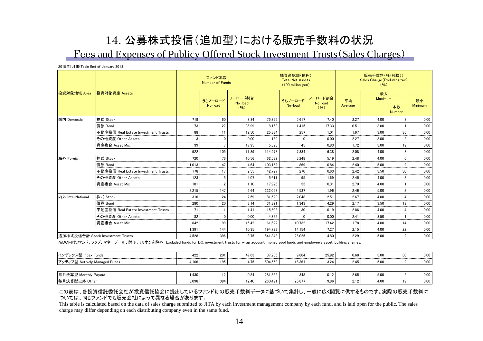### 14. 公募株式投信(追加型)における販売手数料の状況 Fees and Expenses of Publicy Offered Stock Investment Trusts(Sales Charges)

2018年1月末(Table End of January 2018)

|                  |                                     |       | ファンド本数<br><b>Number of Funds</b> |                    |         | 純資産総額(億円)<br><b>Total Net Assets</b><br>(100 million yen) |                            | 販売手数料(%(税抜))<br>Sales Charge (Excluding tax)<br>(96) |               |                     |         |  |
|------------------|-------------------------------------|-------|----------------------------------|--------------------|---------|-----------------------------------------------------------|----------------------------|------------------------------------------------------|---------------|---------------------|---------|--|
| 投資対象地域 Area      | 投資対象資産 Assets                       |       | うちノーロード                          | ノーロード割合<br>No-load |         | うちノーロード<br>No-load                                        | ノーロード割合<br>No-load<br>(96) | 平均<br>Average                                        | 最大<br>Maximum |                     | 最小      |  |
|                  |                                     |       | No-load                          | (96)               |         |                                                           |                            |                                                      |               | 本数<br><b>Number</b> | Minimum |  |
| 国内 Domestic      | 株式 Stock                            | 719   | 60                               | 8.34               | 75.896  | 5.617                                                     | 7.40                       | 2.27                                                 | 4.00          |                     | 0.00    |  |
|                  | 債券 Bond                             | 73    | 27                               | 36.99              | 8.163   | 1.415                                                     | 17.33                      | 0.51                                                 | 3.00          |                     | 0.00    |  |
|                  | 不動産投信 Real Estate Investment Trusts | 88    | 11                               | 12.50              | 25.384  | 257                                                       | 1.01                       | 1.97                                                 | 3.00          | 36                  | 0.00    |  |
|                  | その他資産 Other Assets                  | 3     | $\Omega$                         | 0.00               | 139     | C                                                         | 0.00                       | 2.27                                                 | 3.00          |                     | 0.00    |  |
|                  | 資産複合 Asset Mix                      | 39    |                                  | 17.95              | 5.398   | 45                                                        | 0.83                       | 1.72                                                 | 3.00          | 19                  | 0.00    |  |
|                  |                                     | 922   | 105                              | 11.39              | 114.978 | 7.334                                                     | 6.38                       | 2.08                                                 | 4.00          |                     | 0.00    |  |
| 海外 Foreign       | 株式 Stock                            | 720   | 76                               | 10.56              | 62.582  | 3.248                                                     | 5.19                       | 2.48                                                 | 4.00          |                     | 0.00    |  |
|                  | 債券 Bond                             | 1.013 | 47                               | 4.64               | 103.152 | 869                                                       | 0.84                       | 2.40                                                 | 5.00          |                     | 0.00    |  |
|                  | 不動産投信 Real Estate Investment Trusts | 178   | 17                               | 9.55               | 42.797  | 270                                                       | 0.63                       | 2.42                                                 | 3.50          | 30                  | 0.00    |  |
|                  | その他資産 Other Assets                  | 123   |                                  | 4.07               | 5.611   | 95                                                        | 1.69                       | 2.45                                                 | 4.00          |                     | 0.00    |  |
|                  | 資産複合 Asset Mix                      | 181   | 2                                | 1.10               | 17.926  | 55                                                        | 0.31                       | 2.70                                                 | 4.00          |                     | 0.00    |  |
|                  |                                     | 2.215 | 147                              | 6.64               | 232.068 | 4.537                                                     | 1.96                       | 2.46                                                 | 5.00          |                     | 0.00    |  |
| 内外 InterNational | 株式 Stock                            | 316   | 24                               | 7.59               | 81.528  | 2.048                                                     | 2.51                       | 2.67                                                 | 4.00          |                     | 0.00    |  |
|                  | 債券 Bond                             | 280   | 20                               | 7.14               | 31.321  | 1.343                                                     | 4.29                       | 2.17                                                 | 3.50          |                     | 0.00    |  |
|                  | 不動産投信 Real Estate Investment Trusts | 71    |                                  | 1.41               | 15.503  | 30                                                        | 0.19                       | 2.86                                                 | 4.00          |                     | 0.00    |  |
|                  | その他資産 Other Assets                  | 82    | $\Omega$                         | 0.00               | 4.822   | $\sqrt{ }$                                                | 0.00                       | 2.41                                                 | 3.50          |                     | 0.00    |  |
|                  | 資産複合 Asset Mix                      | 642   | 99                               | 15.42              | 61.622  | 10.732                                                    | 17.42                      | 1.78                                                 | 4.00          | 14                  | 0.00    |  |
|                  |                                     | 1.391 | 144                              | 10.35              | 194.797 | 14.154                                                    | 7.27                       | 2.15                                                 | 4.00          | 22                  | 0.00    |  |
|                  | 追加株式投信合計 Stock Investment Trusts    | 4.528 | 396                              | 8.75               | 541.843 | 26.025                                                    | 4.80                       | 2.29                                                 | 5.00          | $\mathfrak{p}$      | 0.00    |  |

※DC向けファンド、ラップ、マネープール、財形、ミリオンを除外 Excluded funds for DC, investment trusts for wrap account, money pool funds and employee's asset-building shemes.

| インデックス型 Index Funds           | 422   | 201 | 47.63 | 37.285  | 9.664         | 25.92 | 0.68 | 3.00 | 0.00 |
|-------------------------------|-------|-----|-------|---------|---------------|-------|------|------|------|
| アクティブ型 Actively Managed Funds | 4.106 | 195 | 4.75  | 504.558 | 16.361        | 3.24  | 2.45 | 5.00 | 0.00 |
|                               |       |     |       |         |               |       |      |      |      |
| 毎月決算型 Monthly Payout          | .430  |     | 0.84  | 281.352 | 348<br>______ | 0.12  | 2.65 | 5.00 | 0.00 |
| 毎月決算型以外 Other                 | 3.098 | 384 | 12.40 | 260.491 | 25.677        | 9.86  | 2.12 | 4.00 | 0.00 |

#### この表は、各投資信託委託会社が投資信託協会に提出しているファンド毎の販売手数料データに基づいて集計し、一般に広く閲覧に供するものです。実際の販売手数料に ついては、同じファンドでも販売会社によって異なる場合があります。

This table is calculated based on the data of sales charge submitted to JITA by each investment management company by each fund, and is laid open for the public. The sales charge may differ depending on each distributing company even in the same fund.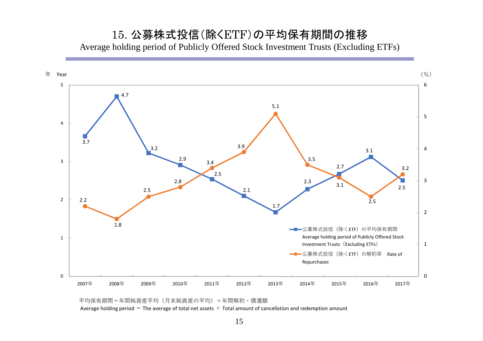15. 公募株式投信(除くETF)の平均保有期間の推移 Average holding period of Publicly Offered Stock Investment Trusts (Excluding ETFs)



平均保有期間=年間純資産平均(月末純資産の平均)÷年間解約・償還額

Average holding period = The average of total net assets  $\div$  Total amount of cancellation and redemption amount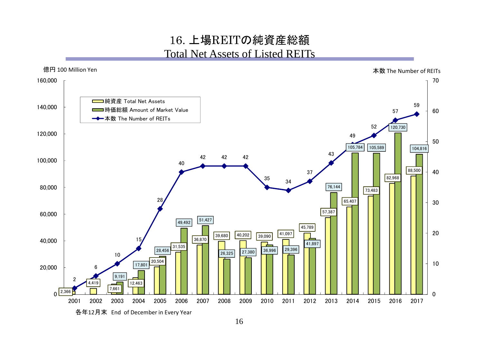### 16. 上場REITの純資産総額 Total Net Assets of Listed REITs

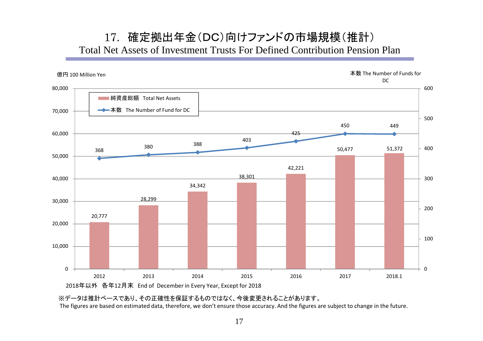#### 17. 確定拠出年金(DC)向けファンドの市場規模(推計) Total Net Assets of Investment Trusts For Defined Contribution Pension Plan



※データは推計ベースであり、その正確性を保証するものではなく、今後変更されることがあります。

The figures are based on estimated data, therefore, we don't ensure those accuracy. And the figures are subject to change in the future.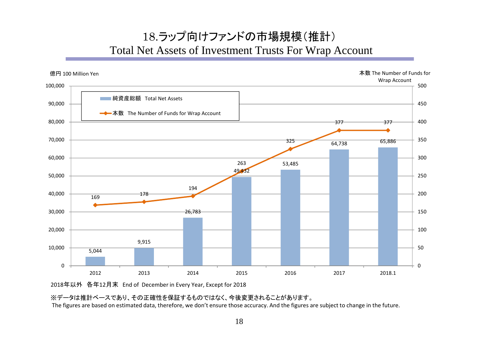## 18.ラップ向けファンドの市場規模(推計) Total Net Assets of Investment Trusts For Wrap Account



2018年以外 各年12月末 End of December in Every Year, Except for 2018

※データは推計ベースであり、その正確性を保証するものではなく、今後変更されることがあります。

The figures are based on estimated data, therefore, we don't ensure those accuracy. And the figures are subject to change in the future.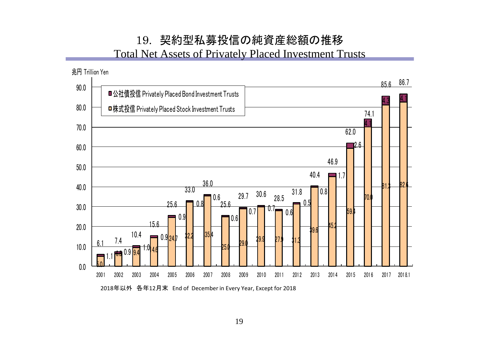## 19. 契約型私募投信の純資産総額の推移

Total Net Assets of Privately Placed Investment Trusts

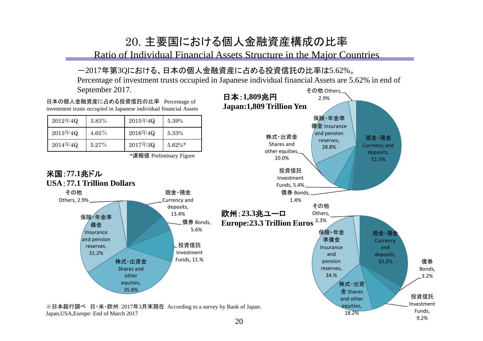## 20. 主要国における個人金融資産構成の比率

Ratio of Individual Financial Assets Structure in the Major Countries

#### -2017年第3Qにおける、日本の個人金融資産に占める投資信託の比率は5.62%。

その他 Others, Percentage of investment trusts occupied in Japanese individual financial Assets are 5.62% in end of September 2017.



9.2%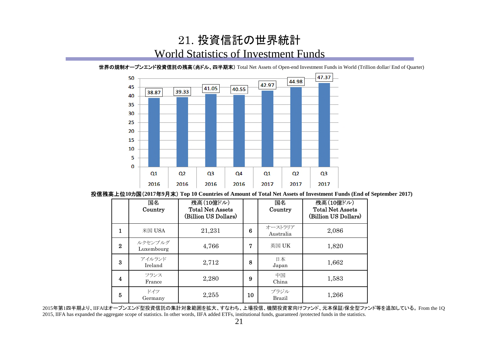### 21. 投資信託の世界統計 World Statistics of Investment Funds



世界の規制オープンエンド投資信託の残高(兆ドル、四半期末) Total Net Assets of Open-end Investment Funds in World (Trillion dollar/ End of Quarter)

投信残高上位**10**カ国(**2017**年**9**月末) **Top 10 Countries of Amount of Total Net Assets of Investment Funds (End of September 2017)**

|          | 国名<br>Country         | 残高(10億ドル)<br><b>Total Net Assets</b><br>(Billion US Dollars) |    | 国名<br>Country         | 残高(10億ドル)<br><b>Total Net Assets</b><br>(Billion US Dollars) |
|----------|-----------------------|--------------------------------------------------------------|----|-----------------------|--------------------------------------------------------------|
| 1        | 米国 USA                | 21,231                                                       | 6  | オーストラリア<br>Australia  | 2,086                                                        |
| $\bf{2}$ | ルクセンブルグ<br>Luxembourg | 4,766                                                        | 7  | 英国 UK                 | 1,820                                                        |
| 3        | アイルランド<br>Ireland     | 2,712                                                        | 8  | 日本<br>Japan           | 1,662                                                        |
| 4        | フランス<br>France        | 2,280                                                        | 9  | 中国<br>China           | 1,583                                                        |
| 5        | ドイツ<br>Germany        | 2,255                                                        | 10 | ブラジル<br><b>Brazil</b> | 1,266                                                        |

2015年第1四半期より、IIFAはオープンエンド型投資信託の集計対象範囲を拡大、すなわち、上場投信、機関投資家向けファンド、元本保証/保全型ファンド等を追加している。 From the 1Q 2015, IIFA has expanded the aggregate scope of statistics. In other words, IIFA added ETFs, institutional funds, guaranteed /protected funds in the statistics.